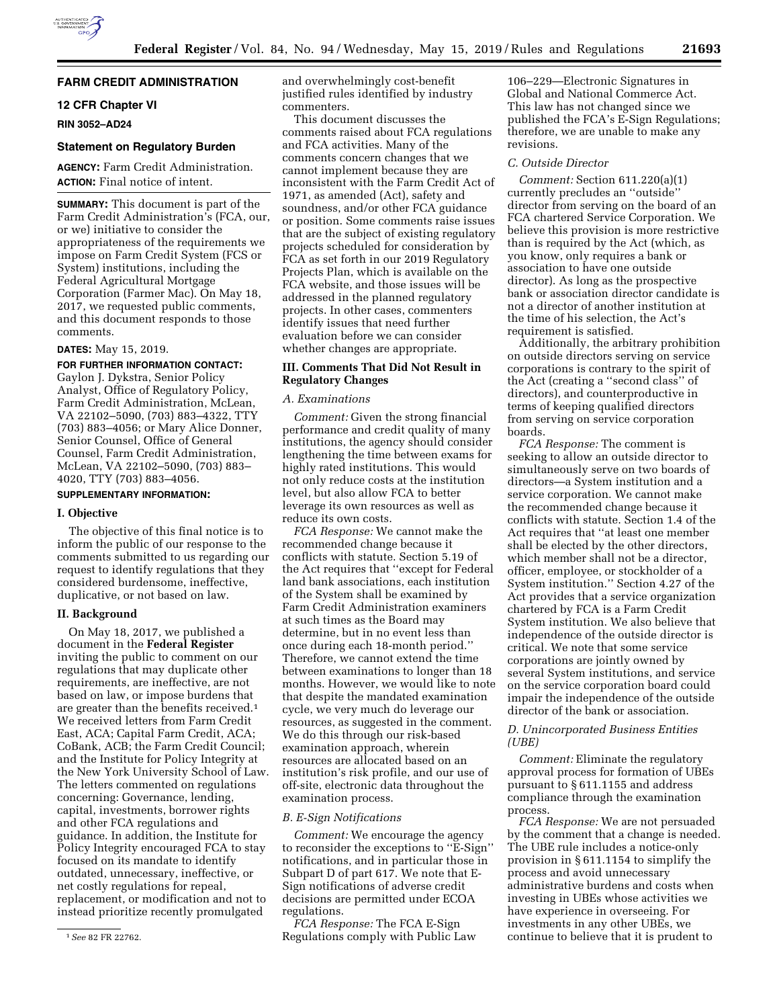# **FARM CREDIT ADMINISTRATION**

# **12 CFR Chapter VI**

**RIN 3052–AD24** 

## **Statement on Regulatory Burden**

**AGENCY:** Farm Credit Administration. **ACTION:** Final notice of intent.

**SUMMARY:** This document is part of the Farm Credit Administration's (FCA, our, or we) initiative to consider the appropriateness of the requirements we impose on Farm Credit System (FCS or System) institutions, including the Federal Agricultural Mortgage Corporation (Farmer Mac). On May 18, 2017, we requested public comments, and this document responds to those comments.

## **DATES:** May 15, 2019.

# **FOR FURTHER INFORMATION CONTACT:**

Gaylon J. Dykstra, Senior Policy Analyst, Office of Regulatory Policy, Farm Credit Administration, McLean, VA 22102–5090, (703) 883–4322, TTY (703) 883–4056; or Mary Alice Donner, Senior Counsel, Office of General Counsel, Farm Credit Administration, McLean, VA 22102–5090, (703) 883– 4020, TTY (703) 883–4056.

# **SUPPLEMENTARY INFORMATION:**

#### **I. Objective**

The objective of this final notice is to inform the public of our response to the comments submitted to us regarding our request to identify regulations that they considered burdensome, ineffective, duplicative, or not based on law.

## **II. Background**

On May 18, 2017, we published a document in the **Federal Register**  inviting the public to comment on our regulations that may duplicate other requirements, are ineffective, are not based on law, or impose burdens that are greater than the benefits received.1 We received letters from Farm Credit East, ACA; Capital Farm Credit, ACA; CoBank, ACB; the Farm Credit Council; and the Institute for Policy Integrity at the New York University School of Law. The letters commented on regulations concerning: Governance, lending, capital, investments, borrower rights and other FCA regulations and guidance. In addition, the Institute for Policy Integrity encouraged FCA to stay focused on its mandate to identify outdated, unnecessary, ineffective, or net costly regulations for repeal, replacement, or modification and not to instead prioritize recently promulgated

and overwhelmingly cost-benefit justified rules identified by industry commenters.

This document discusses the comments raised about FCA regulations and FCA activities. Many of the comments concern changes that we cannot implement because they are inconsistent with the Farm Credit Act of 1971, as amended (Act), safety and soundness, and/or other FCA guidance or position. Some comments raise issues that are the subject of existing regulatory projects scheduled for consideration by FCA as set forth in our 2019 Regulatory Projects Plan, which is available on the FCA website, and those issues will be addressed in the planned regulatory projects. In other cases, commenters identify issues that need further evaluation before we can consider whether changes are appropriate.

## **III. Comments That Did Not Result in Regulatory Changes**

### *A. Examinations*

*Comment:* Given the strong financial performance and credit quality of many institutions, the agency should consider lengthening the time between exams for highly rated institutions. This would not only reduce costs at the institution level, but also allow FCA to better leverage its own resources as well as reduce its own costs.

*FCA Response:* We cannot make the recommended change because it conflicts with statute. Section 5.19 of the Act requires that ''except for Federal land bank associations, each institution of the System shall be examined by Farm Credit Administration examiners at such times as the Board may determine, but in no event less than once during each 18-month period.'' Therefore, we cannot extend the time between examinations to longer than 18 months. However, we would like to note that despite the mandated examination cycle, we very much do leverage our resources, as suggested in the comment. We do this through our risk-based examination approach, wherein resources are allocated based on an institution's risk profile, and our use of off-site, electronic data throughout the examination process.

# *B. E-Sign Notifications*

*Comment:* We encourage the agency to reconsider the exceptions to ''E-Sign'' notifications, and in particular those in Subpart D of part 617. We note that E-Sign notifications of adverse credit decisions are permitted under ECOA regulations.

*FCA Response:* The FCA E-Sign Regulations comply with Public Law

106–229—Electronic Signatures in Global and National Commerce Act. This law has not changed since we published the FCA's E-Sign Regulations; therefore, we are unable to make any revisions.

#### *C. Outside Director*

*Comment:* Section 611.220(a)(1) currently precludes an ''outside'' director from serving on the board of an FCA chartered Service Corporation. We believe this provision is more restrictive than is required by the Act (which, as you know, only requires a bank or association to have one outside director). As long as the prospective bank or association director candidate is not a director of another institution at the time of his selection, the Act's requirement is satisfied.

Additionally, the arbitrary prohibition on outside directors serving on service corporations is contrary to the spirit of the Act (creating a ''second class'' of directors), and counterproductive in terms of keeping qualified directors from serving on service corporation boards.

*FCA Response:* The comment is seeking to allow an outside director to simultaneously serve on two boards of directors—a System institution and a service corporation. We cannot make the recommended change because it conflicts with statute. Section 1.4 of the Act requires that ''at least one member shall be elected by the other directors, which member shall not be a director, officer, employee, or stockholder of a System institution.'' Section 4.27 of the Act provides that a service organization chartered by FCA is a Farm Credit System institution. We also believe that independence of the outside director is critical. We note that some service corporations are jointly owned by several System institutions, and service on the service corporation board could impair the independence of the outside director of the bank or association.

## *D. Unincorporated Business Entities (UBE)*

*Comment:* Eliminate the regulatory approval process for formation of UBEs pursuant to § 611.1155 and address compliance through the examination process.

*FCA Response:* We are not persuaded by the comment that a change is needed. The UBE rule includes a notice-only provision in § 611.1154 to simplify the process and avoid unnecessary administrative burdens and costs when investing in UBEs whose activities we have experience in overseeing. For investments in any other UBEs, we continue to believe that it is prudent to

<sup>1</sup>*See* 82 FR 22762.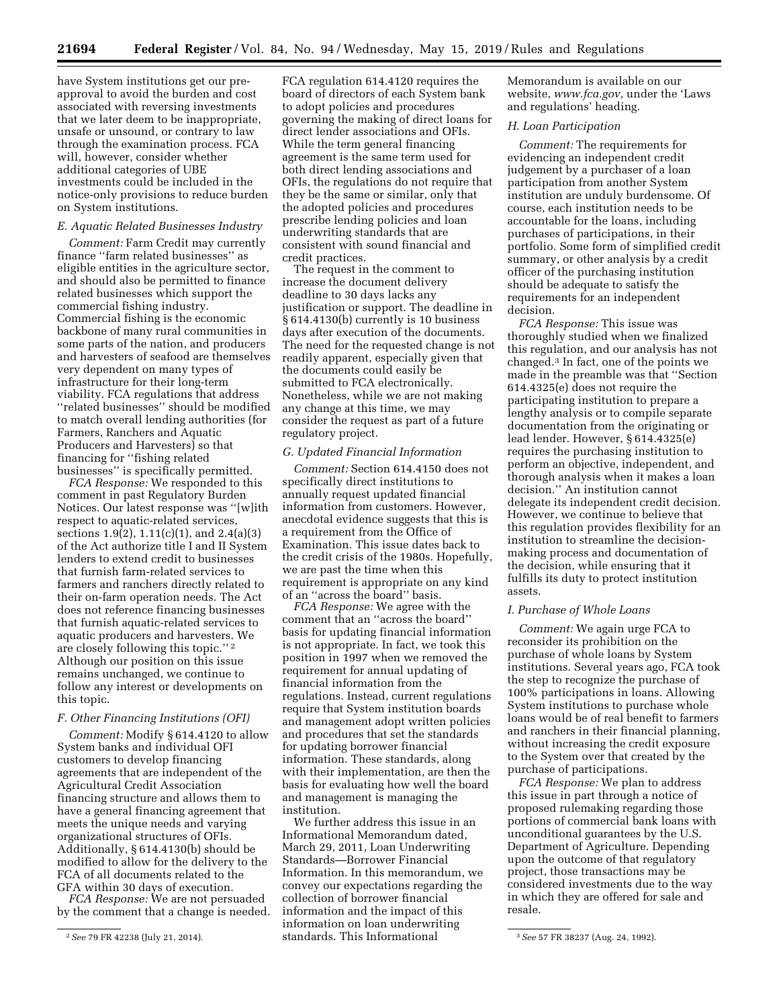have System institutions get our preapproval to avoid the burden and cost associated with reversing investments that we later deem to be inappropriate, unsafe or unsound, or contrary to law through the examination process. FCA will, however, consider whether additional categories of UBE investments could be included in the notice-only provisions to reduce burden on System institutions.

#### *E. Aquatic Related Businesses Industry*

*Comment:* Farm Credit may currently finance ''farm related businesses'' as eligible entities in the agriculture sector, and should also be permitted to finance related businesses which support the commercial fishing industry. Commercial fishing is the economic backbone of many rural communities in some parts of the nation, and producers and harvesters of seafood are themselves very dependent on many types of infrastructure for their long-term viability. FCA regulations that address ''related businesses'' should be modified to match overall lending authorities (for Farmers, Ranchers and Aquatic Producers and Harvesters) so that financing for ''fishing related businesses'' is specifically permitted.

*FCA Response:* We responded to this comment in past Regulatory Burden Notices. Our latest response was ''[w]ith respect to aquatic-related services, sections 1.9(2), 1.11(c)(1), and 2.4(a)(3) of the Act authorize title I and II System lenders to extend credit to businesses that furnish farm-related services to farmers and ranchers directly related to their on-farm operation needs. The Act does not reference financing businesses that furnish aquatic-related services to aquatic producers and harvesters. We are closely following this topic.'' 2 Although our position on this issue remains unchanged, we continue to follow any interest or developments on this topic.

#### *F. Other Financing Institutions (OFI)*

*Comment:* Modify § 614.4120 to allow System banks and individual OFI customers to develop financing agreements that are independent of the Agricultural Credit Association financing structure and allows them to have a general financing agreement that meets the unique needs and varying organizational structures of OFIs. Additionally, § 614.4130(b) should be modified to allow for the delivery to the FCA of all documents related to the GFA within 30 days of execution.

*FCA Response:* We are not persuaded by the comment that a change is needed.

FCA regulation 614.4120 requires the board of directors of each System bank to adopt policies and procedures governing the making of direct loans for direct lender associations and OFIs. While the term general financing agreement is the same term used for both direct lending associations and OFIs, the regulations do not require that they be the same or similar, only that the adopted policies and procedures prescribe lending policies and loan underwriting standards that are consistent with sound financial and credit practices.

The request in the comment to increase the document delivery deadline to 30 days lacks any justification or support. The deadline in § 614.4130(b) currently is 10 business days after execution of the documents. The need for the requested change is not readily apparent, especially given that the documents could easily be submitted to FCA electronically. Nonetheless, while we are not making any change at this time, we may consider the request as part of a future regulatory project.

#### *G. Updated Financial Information*

*Comment:* Section 614.4150 does not specifically direct institutions to annually request updated financial information from customers. However, anecdotal evidence suggests that this is a requirement from the Office of Examination. This issue dates back to the credit crisis of the 1980s. Hopefully, we are past the time when this requirement is appropriate on any kind of an ''across the board'' basis.

*FCA Response:* We agree with the comment that an ''across the board'' basis for updating financial information is not appropriate. In fact, we took this position in 1997 when we removed the requirement for annual updating of financial information from the regulations. Instead, current regulations require that System institution boards and management adopt written policies and procedures that set the standards for updating borrower financial information. These standards, along with their implementation, are then the basis for evaluating how well the board and management is managing the institution.

2*See* 79 FR 42238 (July 21, 2014). 3*See* 57 FR 38237 (Aug. 24, 1992). We further address this issue in an Informational Memorandum dated, March 29, 2011, Loan Underwriting Standards—Borrower Financial Information. In this memorandum, we convey our expectations regarding the collection of borrower financial information and the impact of this information on loan underwriting standards. This Informational

Memorandum is available on our website, *[www.fca.gov,](http://www.fca.gov)* under the 'Laws and regulations' heading.

## *H. Loan Participation*

*Comment:* The requirements for evidencing an independent credit judgement by a purchaser of a loan participation from another System institution are unduly burdensome. Of course, each institution needs to be accountable for the loans, including purchases of participations, in their portfolio. Some form of simplified credit summary, or other analysis by a credit officer of the purchasing institution should be adequate to satisfy the requirements for an independent decision.

*FCA Response:* This issue was thoroughly studied when we finalized this regulation, and our analysis has not changed.3 In fact, one of the points we made in the preamble was that ''Section 614.4325(e) does not require the participating institution to prepare a lengthy analysis or to compile separate documentation from the originating or lead lender. However, § 614.4325(e) requires the purchasing institution to perform an objective, independent, and thorough analysis when it makes a loan decision.'' An institution cannot delegate its independent credit decision. However, we continue to believe that this regulation provides flexibility for an institution to streamline the decisionmaking process and documentation of the decision, while ensuring that it fulfills its duty to protect institution assets.

#### *I. Purchase of Whole Loans*

*Comment:* We again urge FCA to reconsider its prohibition on the purchase of whole loans by System institutions. Several years ago, FCA took the step to recognize the purchase of 100% participations in loans. Allowing System institutions to purchase whole loans would be of real benefit to farmers and ranchers in their financial planning, without increasing the credit exposure to the System over that created by the purchase of participations.

*FCA Response:* We plan to address this issue in part through a notice of proposed rulemaking regarding those portions of commercial bank loans with unconditional guarantees by the U.S. Department of Agriculture. Depending upon the outcome of that regulatory project, those transactions may be considered investments due to the way in which they are offered for sale and resale.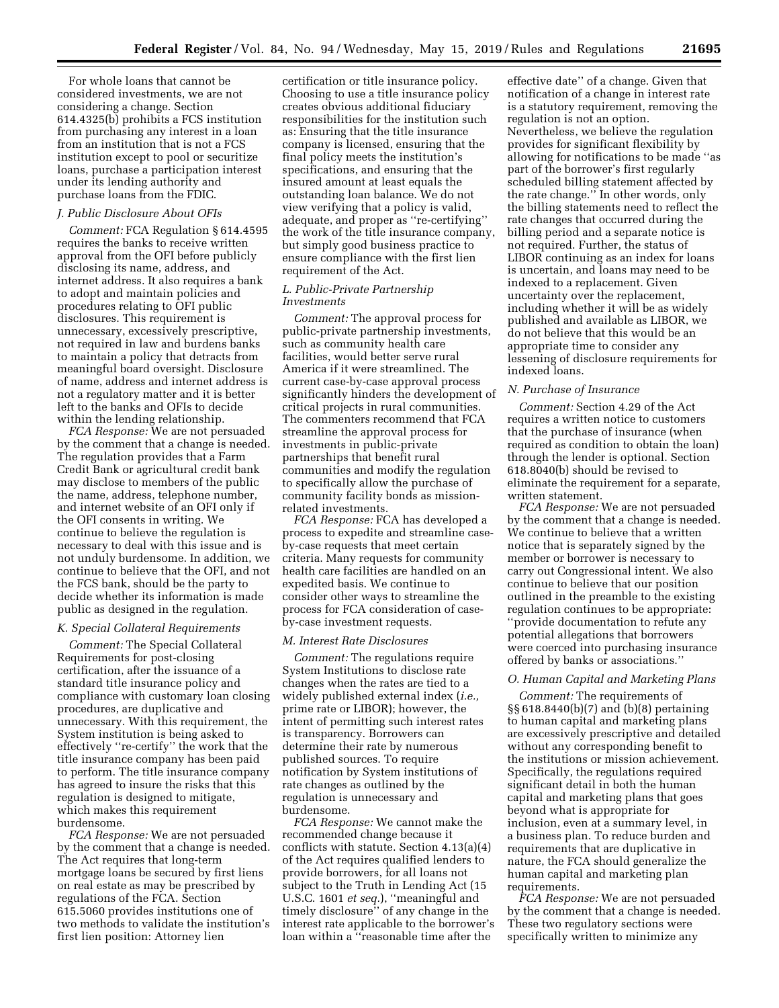For whole loans that cannot be considered investments, we are not considering a change. Section 614.4325(b) prohibits a FCS institution from purchasing any interest in a loan from an institution that is not a FCS institution except to pool or securitize loans, purchase a participation interest under its lending authority and purchase loans from the FDIC.

#### *J. Public Disclosure About OFIs*

*Comment:* FCA Regulation § 614.4595 requires the banks to receive written approval from the OFI before publicly disclosing its name, address, and internet address. It also requires a bank to adopt and maintain policies and procedures relating to OFI public disclosures. This requirement is unnecessary, excessively prescriptive, not required in law and burdens banks to maintain a policy that detracts from meaningful board oversight. Disclosure of name, address and internet address is not a regulatory matter and it is better left to the banks and OFIs to decide within the lending relationship.

*FCA Response:* We are not persuaded by the comment that a change is needed. The regulation provides that a Farm Credit Bank or agricultural credit bank may disclose to members of the public the name, address, telephone number, and internet website of an OFI only if the OFI consents in writing. We continue to believe the regulation is necessary to deal with this issue and is not unduly burdensome. In addition, we continue to believe that the OFI, and not the FCS bank, should be the party to decide whether its information is made public as designed in the regulation.

#### *K. Special Collateral Requirements*

*Comment:* The Special Collateral Requirements for post-closing certification, after the issuance of a standard title insurance policy and compliance with customary loan closing procedures, are duplicative and unnecessary. With this requirement, the System institution is being asked to effectively ''re-certify'' the work that the title insurance company has been paid to perform. The title insurance company has agreed to insure the risks that this regulation is designed to mitigate, which makes this requirement burdensome.

*FCA Response:* We are not persuaded by the comment that a change is needed. The Act requires that long-term mortgage loans be secured by first liens on real estate as may be prescribed by regulations of the FCA. Section 615.5060 provides institutions one of two methods to validate the institution's first lien position: Attorney lien

certification or title insurance policy. Choosing to use a title insurance policy creates obvious additional fiduciary responsibilities for the institution such as: Ensuring that the title insurance company is licensed, ensuring that the final policy meets the institution's specifications, and ensuring that the insured amount at least equals the outstanding loan balance. We do not view verifying that a policy is valid, adequate, and proper as ''re-certifying'' the work of the title insurance company, but simply good business practice to ensure compliance with the first lien requirement of the Act.

## *L. Public-Private Partnership Investments*

*Comment:* The approval process for public-private partnership investments, such as community health care facilities, would better serve rural America if it were streamlined. The current case-by-case approval process significantly hinders the development of critical projects in rural communities. The commenters recommend that FCA streamline the approval process for investments in public-private partnerships that benefit rural communities and modify the regulation to specifically allow the purchase of community facility bonds as missionrelated investments.

*FCA Response:* FCA has developed a process to expedite and streamline caseby-case requests that meet certain criteria. Many requests for community health care facilities are handled on an expedited basis. We continue to consider other ways to streamline the process for FCA consideration of caseby-case investment requests.

#### *M. Interest Rate Disclosures*

*Comment:* The regulations require System Institutions to disclose rate changes when the rates are tied to a widely published external index (*i.e.,*  prime rate or LIBOR); however, the intent of permitting such interest rates is transparency. Borrowers can determine their rate by numerous published sources. To require notification by System institutions of rate changes as outlined by the regulation is unnecessary and burdensome.

*FCA Response:* We cannot make the recommended change because it conflicts with statute. Section 4.13(a)(4) of the Act requires qualified lenders to provide borrowers, for all loans not subject to the Truth in Lending Act (15 U.S.C. 1601 *et seq.*), ''meaningful and timely disclosure'' of any change in the interest rate applicable to the borrower's loan within a ''reasonable time after the

effective date'' of a change. Given that notification of a change in interest rate is a statutory requirement, removing the regulation is not an option. Nevertheless, we believe the regulation provides for significant flexibility by allowing for notifications to be made ''as part of the borrower's first regularly scheduled billing statement affected by the rate change.'' In other words, only the billing statements need to reflect the rate changes that occurred during the billing period and a separate notice is not required. Further, the status of LIBOR continuing as an index for loans is uncertain, and loans may need to be indexed to a replacement. Given uncertainty over the replacement, including whether it will be as widely published and available as LIBOR, we do not believe that this would be an appropriate time to consider any lessening of disclosure requirements for indexed loans.

#### *N. Purchase of Insurance*

*Comment:* Section 4.29 of the Act requires a written notice to customers that the purchase of insurance (when required as condition to obtain the loan) through the lender is optional. Section 618.8040(b) should be revised to eliminate the requirement for a separate, written statement.

*FCA Response:* We are not persuaded by the comment that a change is needed. We continue to believe that a written notice that is separately signed by the member or borrower is necessary to carry out Congressional intent. We also continue to believe that our position outlined in the preamble to the existing regulation continues to be appropriate: ''provide documentation to refute any potential allegations that borrowers were coerced into purchasing insurance offered by banks or associations.''

#### *O. Human Capital and Marketing Plans*

*Comment:* The requirements of §§ 618.8440(b)(7) and (b)(8) pertaining to human capital and marketing plans are excessively prescriptive and detailed without any corresponding benefit to the institutions or mission achievement. Specifically, the regulations required significant detail in both the human capital and marketing plans that goes beyond what is appropriate for inclusion, even at a summary level, in a business plan. To reduce burden and requirements that are duplicative in nature, the FCA should generalize the human capital and marketing plan requirements.

*FCA Response:* We are not persuaded by the comment that a change is needed. These two regulatory sections were specifically written to minimize any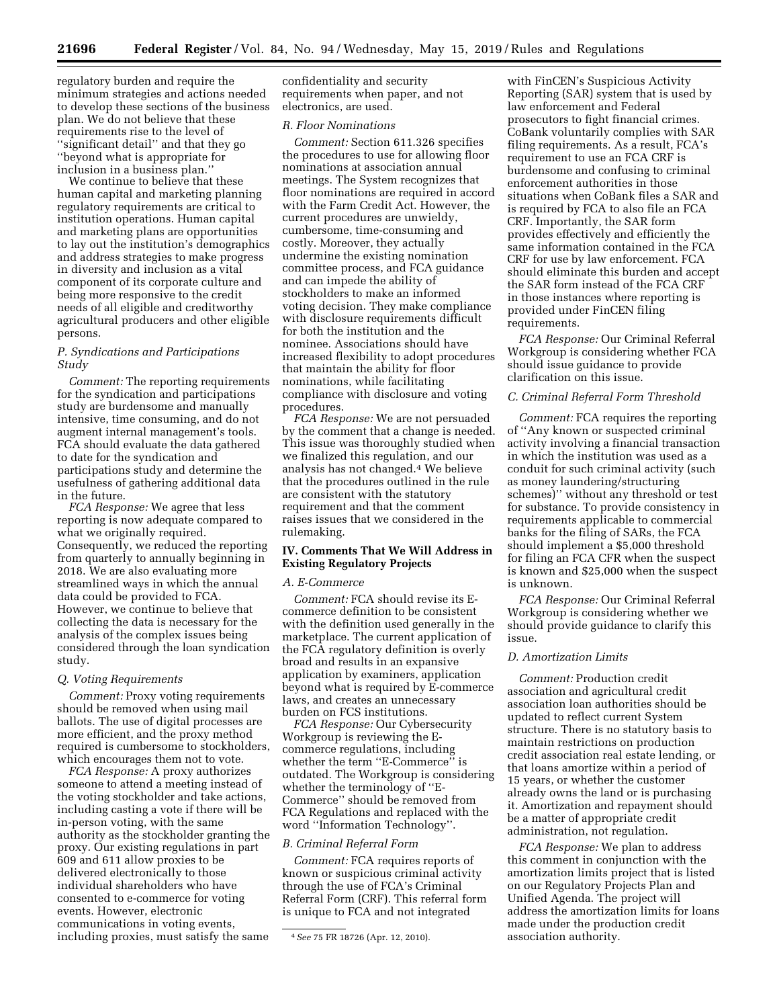regulatory burden and require the minimum strategies and actions needed to develop these sections of the business plan. We do not believe that these requirements rise to the level of ''significant detail'' and that they go ''beyond what is appropriate for inclusion in a business plan.''

We continue to believe that these human capital and marketing planning regulatory requirements are critical to institution operations. Human capital and marketing plans are opportunities to lay out the institution's demographics and address strategies to make progress in diversity and inclusion as a vital component of its corporate culture and being more responsive to the credit needs of all eligible and creditworthy agricultural producers and other eligible persons.

## *P. Syndications and Participations Study*

*Comment:* The reporting requirements for the syndication and participations study are burdensome and manually intensive, time consuming, and do not augment internal management's tools. FCA should evaluate the data gathered to date for the syndication and participations study and determine the usefulness of gathering additional data in the future.

*FCA Response:* We agree that less reporting is now adequate compared to what we originally required. Consequently, we reduced the reporting from quarterly to annually beginning in 2018. We are also evaluating more streamlined ways in which the annual data could be provided to FCA. However, we continue to believe that collecting the data is necessary for the analysis of the complex issues being considered through the loan syndication study.

#### *Q. Voting Requirements*

*Comment:* Proxy voting requirements should be removed when using mail ballots. The use of digital processes are more efficient, and the proxy method required is cumbersome to stockholders, which encourages them not to vote.

*FCA Response:* A proxy authorizes someone to attend a meeting instead of the voting stockholder and take actions, including casting a vote if there will be in-person voting, with the same authority as the stockholder granting the proxy. Our existing regulations in part 609 and 611 allow proxies to be delivered electronically to those individual shareholders who have consented to e-commerce for voting events. However, electronic communications in voting events, including proxies, must satisfy the same

confidentiality and security requirements when paper, and not electronics, are used.

# *R. Floor Nominations*

*Comment:* Section 611.326 specifies the procedures to use for allowing floor nominations at association annual meetings. The System recognizes that floor nominations are required in accord with the Farm Credit Act. However, the current procedures are unwieldy, cumbersome, time-consuming and costly. Moreover, they actually undermine the existing nomination committee process, and FCA guidance and can impede the ability of stockholders to make an informed voting decision. They make compliance with disclosure requirements difficult for both the institution and the nominee. Associations should have increased flexibility to adopt procedures that maintain the ability for floor nominations, while facilitating compliance with disclosure and voting procedures.

*FCA Response:* We are not persuaded by the comment that a change is needed. This issue was thoroughly studied when we finalized this regulation, and our analysis has not changed.4 We believe that the procedures outlined in the rule are consistent with the statutory requirement and that the comment raises issues that we considered in the rulemaking.

## **IV. Comments That We Will Address in Existing Regulatory Projects**

#### *A. E-Commerce*

*Comment:* FCA should revise its Ecommerce definition to be consistent with the definition used generally in the marketplace. The current application of the FCA regulatory definition is overly broad and results in an expansive application by examiners, application beyond what is required by E-commerce laws, and creates an unnecessary burden on FCS institutions.

*FCA Response:* Our Cybersecurity Workgroup is reviewing the Ecommerce regulations, including whether the term ''E-Commerce'' is outdated. The Workgroup is considering whether the terminology of ''E-Commerce'' should be removed from FCA Regulations and replaced with the word ''Information Technology''.

## *B. Criminal Referral Form*

*Comment:* FCA requires reports of known or suspicious criminal activity through the use of FCA's Criminal Referral Form (CRF). This referral form is unique to FCA and not integrated

with FinCEN's Suspicious Activity Reporting (SAR) system that is used by law enforcement and Federal prosecutors to fight financial crimes. CoBank voluntarily complies with SAR filing requirements. As a result, FCA's requirement to use an FCA CRF is burdensome and confusing to criminal enforcement authorities in those situations when CoBank files a SAR and is required by FCA to also file an FCA CRF. Importantly, the SAR form provides effectively and efficiently the same information contained in the FCA CRF for use by law enforcement. FCA should eliminate this burden and accept the SAR form instead of the FCA CRF in those instances where reporting is provided under FinCEN filing requirements.

*FCA Response:* Our Criminal Referral Workgroup is considering whether FCA should issue guidance to provide clarification on this issue.

# *C. Criminal Referral Form Threshold*

*Comment:* FCA requires the reporting of ''Any known or suspected criminal activity involving a financial transaction in which the institution was used as a conduit for such criminal activity (such as money laundering/structuring schemes)'' without any threshold or test for substance. To provide consistency in requirements applicable to commercial banks for the filing of SARs, the FCA should implement a \$5,000 threshold for filing an FCA CFR when the suspect is known and \$25,000 when the suspect is unknown.

*FCA Response:* Our Criminal Referral Workgroup is considering whether we should provide guidance to clarify this issue.

## *D. Amortization Limits*

*Comment:* Production credit association and agricultural credit association loan authorities should be updated to reflect current System structure. There is no statutory basis to maintain restrictions on production credit association real estate lending, or that loans amortize within a period of 15 years, or whether the customer already owns the land or is purchasing it. Amortization and repayment should be a matter of appropriate credit administration, not regulation.

*FCA Response:* We plan to address this comment in conjunction with the amortization limits project that is listed on our Regulatory Projects Plan and Unified Agenda. The project will address the amortization limits for loans made under the production credit association authority.

<sup>4</sup>*See* 75 FR 18726 (Apr. 12, 2010).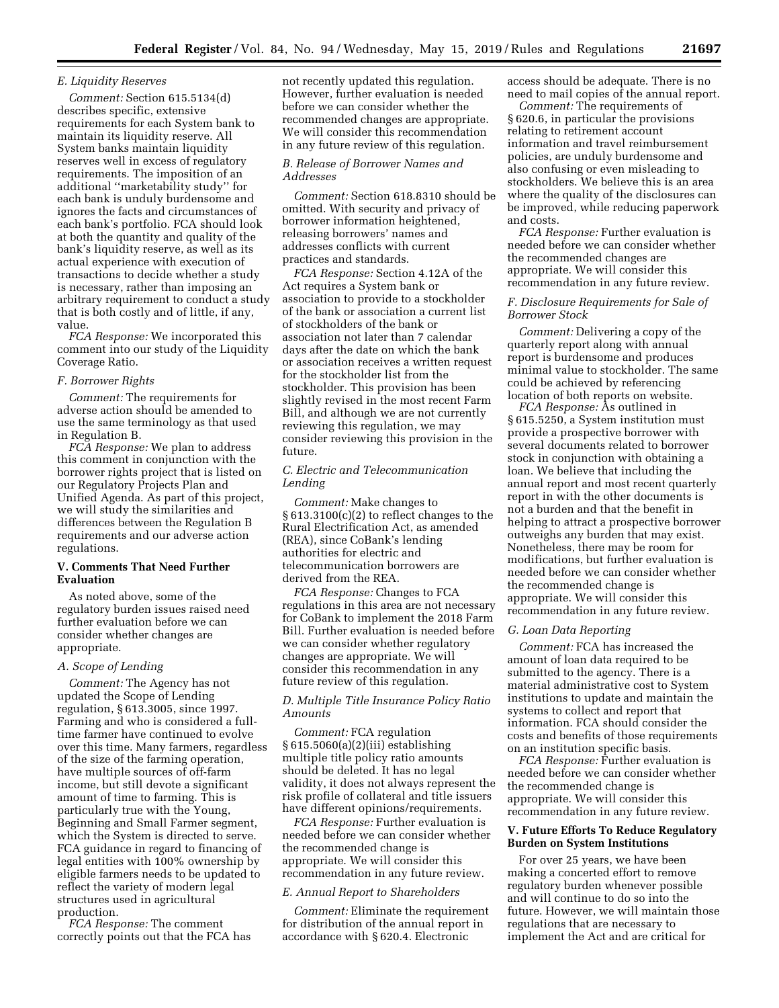## *E. Liquidity Reserves*

*Comment:* Section 615.5134(d) describes specific, extensive requirements for each System bank to maintain its liquidity reserve. All System banks maintain liquidity reserves well in excess of regulatory requirements. The imposition of an additional ''marketability study'' for each bank is unduly burdensome and ignores the facts and circumstances of each bank's portfolio. FCA should look at both the quantity and quality of the bank's liquidity reserve, as well as its actual experience with execution of transactions to decide whether a study is necessary, rather than imposing an arbitrary requirement to conduct a study that is both costly and of little, if any, value.

*FCA Response:* We incorporated this comment into our study of the Liquidity Coverage Ratio.

#### *F. Borrower Rights*

*Comment:* The requirements for adverse action should be amended to use the same terminology as that used in Regulation B.

*FCA Response:* We plan to address this comment in conjunction with the borrower rights project that is listed on our Regulatory Projects Plan and Unified Agenda. As part of this project, we will study the similarities and differences between the Regulation B requirements and our adverse action regulations.

## **V. Comments That Need Further Evaluation**

As noted above, some of the regulatory burden issues raised need further evaluation before we can consider whether changes are appropriate.

#### *A. Scope of Lending*

*Comment:* The Agency has not updated the Scope of Lending regulation, § 613.3005, since 1997. Farming and who is considered a fulltime farmer have continued to evolve over this time. Many farmers, regardless of the size of the farming operation, have multiple sources of off-farm income, but still devote a significant amount of time to farming. This is particularly true with the Young, Beginning and Small Farmer segment, which the System is directed to serve. FCA guidance in regard to financing of legal entities with 100% ownership by eligible farmers needs to be updated to reflect the variety of modern legal structures used in agricultural production.

*FCA Response:* The comment correctly points out that the FCA has not recently updated this regulation. However, further evaluation is needed before we can consider whether the recommended changes are appropriate. We will consider this recommendation in any future review of this regulation.

#### *B. Release of Borrower Names and Addresses*

*Comment:* Section 618.8310 should be omitted. With security and privacy of borrower information heightened, releasing borrowers' names and addresses conflicts with current practices and standards.

*FCA Response:* Section 4.12A of the Act requires a System bank or association to provide to a stockholder of the bank or association a current list of stockholders of the bank or association not later than 7 calendar days after the date on which the bank or association receives a written request for the stockholder list from the stockholder. This provision has been slightly revised in the most recent Farm Bill, and although we are not currently reviewing this regulation, we may consider reviewing this provision in the future.

## *C. Electric and Telecommunication Lending*

*Comment:* Make changes to § 613.3100(c)(2) to reflect changes to the Rural Electrification Act, as amended (REA), since CoBank's lending authorities for electric and telecommunication borrowers are derived from the REA.

*FCA Response:* Changes to FCA regulations in this area are not necessary for CoBank to implement the 2018 Farm Bill. Further evaluation is needed before we can consider whether regulatory changes are appropriate. We will consider this recommendation in any future review of this regulation.

# *D. Multiple Title Insurance Policy Ratio Amounts*

*Comment:* FCA regulation § 615.5060(a)(2)(iii) establishing multiple title policy ratio amounts should be deleted. It has no legal validity, it does not always represent the risk profile of collateral and title issuers have different opinions/requirements.

*FCA Response:* Further evaluation is needed before we can consider whether the recommended change is appropriate. We will consider this recommendation in any future review.

#### *E. Annual Report to Shareholders*

*Comment:* Eliminate the requirement for distribution of the annual report in accordance with § 620.4. Electronic

access should be adequate. There is no need to mail copies of the annual report.

*Comment:* The requirements of § 620.6, in particular the provisions relating to retirement account information and travel reimbursement policies, are unduly burdensome and also confusing or even misleading to stockholders. We believe this is an area where the quality of the disclosures can be improved, while reducing paperwork and costs.

*FCA Response:* Further evaluation is needed before we can consider whether the recommended changes are appropriate. We will consider this recommendation in any future review.

## *F. Disclosure Requirements for Sale of Borrower Stock*

*Comment:* Delivering a copy of the quarterly report along with annual report is burdensome and produces minimal value to stockholder. The same could be achieved by referencing location of both reports on website.

*FCA Response:* As outlined in § 615.5250, a System institution must provide a prospective borrower with several documents related to borrower stock in conjunction with obtaining a loan. We believe that including the annual report and most recent quarterly report in with the other documents is not a burden and that the benefit in helping to attract a prospective borrower outweighs any burden that may exist. Nonetheless, there may be room for modifications, but further evaluation is needed before we can consider whether the recommended change is appropriate. We will consider this recommendation in any future review.

#### *G. Loan Data Reporting*

*Comment:* FCA has increased the amount of loan data required to be submitted to the agency. There is a material administrative cost to System institutions to update and maintain the systems to collect and report that information. FCA should consider the costs and benefits of those requirements on an institution specific basis.

*FCA Response:* Further evaluation is needed before we can consider whether the recommended change is appropriate. We will consider this recommendation in any future review.

## **V. Future Efforts To Reduce Regulatory Burden on System Institutions**

For over 25 years, we have been making a concerted effort to remove regulatory burden whenever possible and will continue to do so into the future. However, we will maintain those regulations that are necessary to implement the Act and are critical for